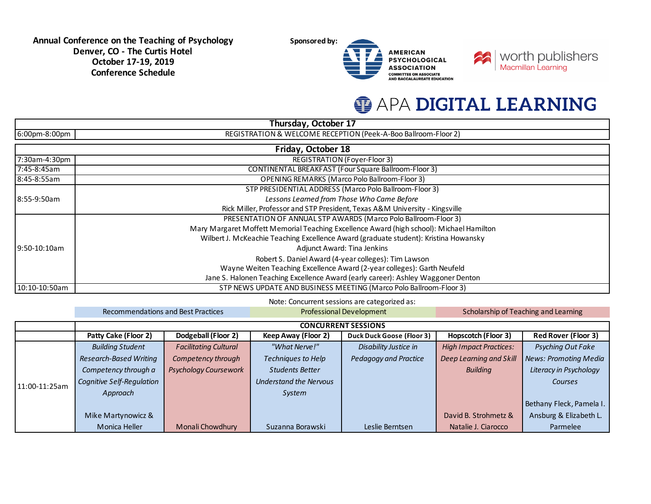**Sponsored by:** 





## **O APA DIGITAL LEARNING**

|               | Thursday, October 17                                                                     |
|---------------|------------------------------------------------------------------------------------------|
| 6:00pm-8:00pm | REGISTRATION & WELCOME RECEPTION (Peek-A-Boo Ballroom-Floor 2)                           |
|               | Friday, October 18                                                                       |
| 7:30am-4:30pm | <b>REGISTRATION (Foyer-Floor 3)</b>                                                      |
| 7:45-8:45am   | <b>CONTINENTAL BREAKFAST (Four Square Ballroom-Floor 3)</b>                              |
| 8:45-8:55am   | <b>OPENING REMARKS (Marco Polo Ballroom-Floor 3)</b>                                     |
|               | STP PRESIDENTIAL ADDRESS (Marco Polo Ballroom-Floor 3)                                   |
| 8:55-9:50am   | Lessons Learned from Those Who Came Before                                               |
|               | Rick Miller, Professor and STP President, Texas A&M University - Kingsville              |
|               | PRESENTATION OF ANNUAL STP AWARDS (Marco Polo Ballroom-Floor 3)                          |
|               | Mary Margaret Moffett Memorial Teaching Excellence Award (high school): Michael Hamilton |
|               | Wilbert J. McKeachie Teaching Excellence Award (graduate student): Kristina Howansky     |
| 9:50-10:10am  | Adjunct Award: Tina Jenkins                                                              |
|               | Robert S. Daniel Award (4-year colleges): Tim Lawson                                     |
|               | Wayne Weiten Teaching Excellence Award (2-year colleges): Garth Neufeld                  |
|               | Jane S. Halonen Teaching Excellence Award (early career): Ashley Waggoner Denton         |
| 10:10-10:50am | STP NEWS UPDATE AND BUSINESS MEETING (Marco Polo Ballroom-Floor 3)                       |

Note: Concurrent sessions are categorized as:

|               | Recommendations and Best Practices |                              | <b>Professional Development</b> |                                  | Scholarship of Teaching and Learning |                              |
|---------------|------------------------------------|------------------------------|---------------------------------|----------------------------------|--------------------------------------|------------------------------|
|               |                                    |                              |                                 | <b>CONCURRENT SESSIONS</b>       |                                      |                              |
|               | Patty Cake (Floor 2)               | Dodgeball (Floor 2)          | Keep Away (Floor 2)             | <b>Duck Duck Goose (Floor 3)</b> | <b>Hopscotch (Floor 3)</b>           | <b>Red Rover (Floor 3)</b>   |
|               | <b>Building Student</b>            | <b>Facilitating Cultural</b> | "What Nerve!"                   | Disability Justice in            | <b>High Impact Practices:</b>        | Psyching Out Fake            |
| 11:00-11:25am | <b>Research-Based Writing</b>      | Competency through           | Techniques to Help              | Pedagogy and Practice            | Deep Learning and Skill              | <b>News: Promoting Media</b> |
|               | Competency through a               | <b>Psychology Coursework</b> | Students Better                 |                                  | <b>Building</b>                      | Literacy in Psychology       |
|               | Cognitive Self-Regulation          |                              | <b>Understand the Nervous</b>   |                                  |                                      | Courses                      |
|               | Approach                           |                              | System                          |                                  |                                      |                              |
|               |                                    |                              |                                 |                                  |                                      | Bethany Fleck, Pamela I.     |
|               | Mike Martynowicz &                 |                              |                                 |                                  | David B. Strohmetz &                 | Ansburg & Elizabeth L.       |
|               | Monica Heller                      | Monali Chowdhury             | Suzanna Borawski                | Leslie Berntsen                  | Natalie J. Ciarocco                  | Parmelee                     |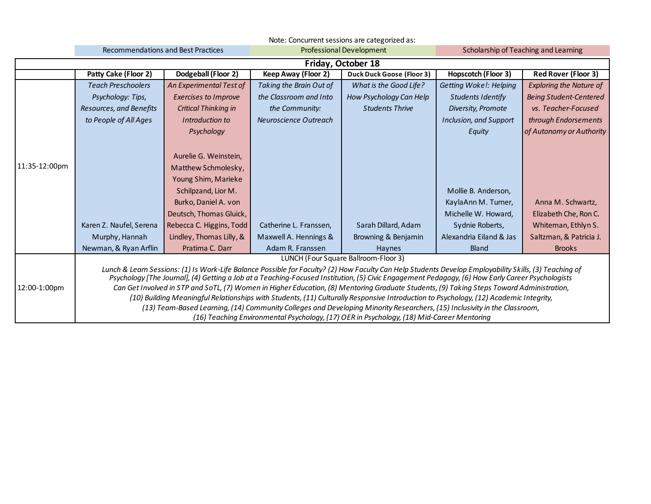|               | Note: Concurrent sessions are categorized as: |                                           |                         |                                                                                                                                                                                                                                                                                                                                                                                                                                                                                                                                                                                                                                                                  |                                      |                                |  |
|---------------|-----------------------------------------------|-------------------------------------------|-------------------------|------------------------------------------------------------------------------------------------------------------------------------------------------------------------------------------------------------------------------------------------------------------------------------------------------------------------------------------------------------------------------------------------------------------------------------------------------------------------------------------------------------------------------------------------------------------------------------------------------------------------------------------------------------------|--------------------------------------|--------------------------------|--|
|               |                                               | <b>Recommendations and Best Practices</b> |                         | <b>Professional Development</b>                                                                                                                                                                                                                                                                                                                                                                                                                                                                                                                                                                                                                                  | Scholarship of Teaching and Learning |                                |  |
|               |                                               |                                           |                         | Friday, October 18                                                                                                                                                                                                                                                                                                                                                                                                                                                                                                                                                                                                                                               |                                      |                                |  |
|               | Patty Cake (Floor 2)                          | Dodgeball (Floor 2)                       | Keep Away (Floor 2)     | <b>Duck Duck Goose (Floor 3)</b>                                                                                                                                                                                                                                                                                                                                                                                                                                                                                                                                                                                                                                 | Hopscotch (Floor 3)                  | <b>Red Rover (Floor 3)</b>     |  |
|               | <b>Teach Preschoolers</b>                     | An Experimental Test of                   | Taking the Brain Out of | What is the Good Life?                                                                                                                                                                                                                                                                                                                                                                                                                                                                                                                                                                                                                                           | Getting Woke!: Helping               | <b>Exploring the Nature of</b> |  |
|               | Psychology: Tips,                             | <b>Exercises to Improve</b>               | the Classroom and Into  | How Psychology Can Help                                                                                                                                                                                                                                                                                                                                                                                                                                                                                                                                                                                                                                          | <b>Students Identify</b>             | <b>Being Student-Centered</b>  |  |
|               | Resources, and Benefits                       | <b>Critical Thinking in</b>               | the Community:          | <b>Students Thrive</b>                                                                                                                                                                                                                                                                                                                                                                                                                                                                                                                                                                                                                                           | Diversity, Promote                   | vs. Teacher-Focused            |  |
|               | to People of All Ages                         | Introduction to                           | Neuroscience Outreach   |                                                                                                                                                                                                                                                                                                                                                                                                                                                                                                                                                                                                                                                                  | Inclusion, and Support               | through Endorsements           |  |
|               |                                               | Psychology                                |                         |                                                                                                                                                                                                                                                                                                                                                                                                                                                                                                                                                                                                                                                                  | Equity                               | of Autonomy or Authority       |  |
|               |                                               |                                           |                         |                                                                                                                                                                                                                                                                                                                                                                                                                                                                                                                                                                                                                                                                  |                                      |                                |  |
|               |                                               | Aurelie G. Weinstein,                     |                         |                                                                                                                                                                                                                                                                                                                                                                                                                                                                                                                                                                                                                                                                  |                                      |                                |  |
| 11:35-12:00pm |                                               | Matthew Schmolesky,                       |                         |                                                                                                                                                                                                                                                                                                                                                                                                                                                                                                                                                                                                                                                                  |                                      |                                |  |
|               |                                               | Young Shim, Marieke                       |                         |                                                                                                                                                                                                                                                                                                                                                                                                                                                                                                                                                                                                                                                                  |                                      |                                |  |
|               |                                               | Schilpzand, Lior M.                       |                         |                                                                                                                                                                                                                                                                                                                                                                                                                                                                                                                                                                                                                                                                  | Mollie B. Anderson,                  |                                |  |
|               |                                               | Burko, Daniel A. von                      |                         |                                                                                                                                                                                                                                                                                                                                                                                                                                                                                                                                                                                                                                                                  | KaylaAnn M. Turner,                  | Anna M. Schwartz,              |  |
|               |                                               | Deutsch, Thomas Gluick,                   |                         |                                                                                                                                                                                                                                                                                                                                                                                                                                                                                                                                                                                                                                                                  | Michelle W. Howard,                  | Elizabeth Che, Ron C.          |  |
|               | Karen Z. Naufel, Serena                       | Rebecca C. Higgins, Todd                  | Catherine L. Franssen,  | Sarah Dillard, Adam                                                                                                                                                                                                                                                                                                                                                                                                                                                                                                                                                                                                                                              | Sydnie Roberts,                      | Whiteman, Ethlyn S.            |  |
|               | Murphy, Hannah                                | Lindley, Thomas Lilly, &                  | Maxwell A. Hennings &   | Browning & Benjamin                                                                                                                                                                                                                                                                                                                                                                                                                                                                                                                                                                                                                                              | Alexandria Eiland & Jas              | Saltzman, & Patricia J.        |  |
|               | Newman, & Ryan Arflin                         | Pratima C. Darr                           | Adam R. Franssen        | Haynes                                                                                                                                                                                                                                                                                                                                                                                                                                                                                                                                                                                                                                                           | <b>Bland</b>                         | <b>Brooks</b>                  |  |
|               | LUNCH (Four Square Ballroom-Floor 3)          |                                           |                         |                                                                                                                                                                                                                                                                                                                                                                                                                                                                                                                                                                                                                                                                  |                                      |                                |  |
|               |                                               |                                           |                         | Lunch & Learn Sessions: (1) Is Work-Life Balance Possible for Faculty? (2) How Faculty Can Help Students Develop Employability Skills, (3) Teaching of                                                                                                                                                                                                                                                                                                                                                                                                                                                                                                           |                                      |                                |  |
|               |                                               |                                           |                         |                                                                                                                                                                                                                                                                                                                                                                                                                                                                                                                                                                                                                                                                  |                                      |                                |  |
|               |                                               |                                           |                         |                                                                                                                                                                                                                                                                                                                                                                                                                                                                                                                                                                                                                                                                  |                                      |                                |  |
|               |                                               |                                           |                         |                                                                                                                                                                                                                                                                                                                                                                                                                                                                                                                                                                                                                                                                  |                                      |                                |  |
|               |                                               |                                           |                         |                                                                                                                                                                                                                                                                                                                                                                                                                                                                                                                                                                                                                                                                  |                                      |                                |  |
| 12:00-1:00pm  |                                               |                                           |                         | Psychology [The Journal], (4) Getting a Job at a Teaching-Focused Institution, (5) Civic Engagement Pedagogy, (6) How Early Career Psychologists<br>Can Get Involved in STP and SoTL, (7) Women in Higher Education, (8) Mentoring Graduate Students, (9) Taking Steps Toward Administration,<br>(10) Building Meaningful Relationships with Students, (11) Culturally Responsive Introduction to Psychology, (12) Academic Integrity,<br>(13) Team-Based Learning, (14) Community Colleges and Developing Minority Researchers, (15) Inclusivity in the Classroom,<br>(16) Teaching Environmental Psychology, (17) OER in Psychology, (18) Mid-Career Mentoring |                                      |                                |  |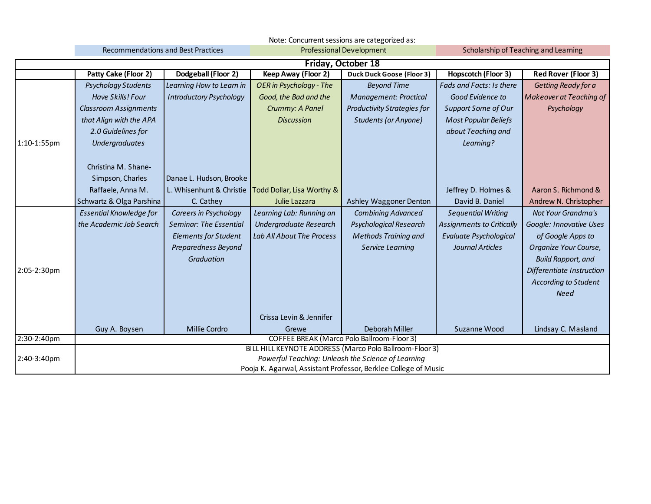|                            | Note: Concurrent sessions are categorized as: |                                           |                                                     |                                                                                                                                                                                                                                |                                  |                                |  |
|----------------------------|-----------------------------------------------|-------------------------------------------|-----------------------------------------------------|--------------------------------------------------------------------------------------------------------------------------------------------------------------------------------------------------------------------------------|----------------------------------|--------------------------------|--|
|                            |                                               | <b>Recommendations and Best Practices</b> |                                                     | Scholarship of Teaching and Learning                                                                                                                                                                                           |                                  |                                |  |
|                            | <b>Friday, October 18</b>                     |                                           |                                                     |                                                                                                                                                                                                                                |                                  |                                |  |
|                            | Patty Cake (Floor 2)                          | Dodgeball (Floor 2)                       | Keep Away (Floor 2)                                 | <b>Duck Duck Goose (Floor 3)</b>                                                                                                                                                                                               | <b>Hopscotch (Floor 3)</b>       | <b>Red Rover (Floor 3)</b>     |  |
|                            | <b>Psychology Students</b>                    | Learning How to Learn in                  | OER in Psychology - The                             | <b>Beyond Time</b>                                                                                                                                                                                                             | Fads and Facts: Is there         | Getting Ready for a            |  |
|                            | Have Skills! Four                             | <b>Introductory Psychology</b>            | Good, the Bad and the                               | <b>Management: Practical</b>                                                                                                                                                                                                   | Good Evidence to                 | <b>Makeover at Teaching of</b> |  |
|                            | <b>Classroom Assignments</b>                  |                                           | Crummy: A Panel                                     | <b>Productivity Strategies for</b>                                                                                                                                                                                             | Support Some of Our              | Psychology                     |  |
|                            | that Align with the APA                       |                                           | <b>Discussion</b>                                   | <b>Students (or Anyone)</b>                                                                                                                                                                                                    | <b>Most Popular Beliefs</b>      |                                |  |
|                            | 2.0 Guidelines for                            |                                           |                                                     |                                                                                                                                                                                                                                | about Teaching and               |                                |  |
| 1:10-1:55pm                | <b>Undergraduates</b>                         |                                           |                                                     |                                                                                                                                                                                                                                | Learning?                        |                                |  |
|                            |                                               |                                           |                                                     |                                                                                                                                                                                                                                |                                  |                                |  |
|                            | Christina M. Shane-                           |                                           |                                                     |                                                                                                                                                                                                                                |                                  |                                |  |
|                            | Simpson, Charles                              | Danae L. Hudson, Brooke                   |                                                     |                                                                                                                                                                                                                                |                                  |                                |  |
|                            | Raffaele, Anna M.                             |                                           | L. Whisenhunt & Christie Todd Dollar, Lisa Worthy & |                                                                                                                                                                                                                                | Jeffrey D. Holmes &              | Aaron S. Richmond &            |  |
|                            | Schwartz & Olga Parshina                      | C. Cathey                                 | Julie Lazzara                                       | Ashley Waggoner Denton                                                                                                                                                                                                         | David B. Daniel                  | Andrew N. Christopher          |  |
|                            | <b>Essential Knowledge for</b>                | Careers in Psychology                     | Learning Lab: Running an                            | <b>Combining Advanced</b>                                                                                                                                                                                                      | <b>Sequential Writing</b>        | Not Your Grandma's             |  |
|                            | the Academic Job Search                       | <b>Seminar: The Essential</b>             | Undergraduate Research                              | Psychological Research                                                                                                                                                                                                         | <b>Assignments to Critically</b> | Google: Innovative Uses        |  |
|                            |                                               | <b>Elements for Student</b>               | Lab All About The Process                           | <b>Methods Training and</b>                                                                                                                                                                                                    | Evaluate Psychological           | of Google Apps to              |  |
|                            |                                               | Preparedness Beyond                       |                                                     | Service Learning                                                                                                                                                                                                               | Journal Articles                 | Organize Your Course,          |  |
|                            |                                               | <b>Graduation</b>                         |                                                     |                                                                                                                                                                                                                                |                                  | <b>Build Rapport, and</b>      |  |
| 2:05-2:30pm                |                                               |                                           |                                                     |                                                                                                                                                                                                                                |                                  | Differentiate Instruction      |  |
|                            |                                               |                                           |                                                     |                                                                                                                                                                                                                                |                                  | <b>According to Student</b>    |  |
|                            |                                               |                                           |                                                     |                                                                                                                                                                                                                                |                                  | <b>Need</b>                    |  |
|                            |                                               |                                           |                                                     |                                                                                                                                                                                                                                |                                  |                                |  |
|                            |                                               |                                           | Crissa Levin & Jennifer                             |                                                                                                                                                                                                                                |                                  |                                |  |
|                            | Guy A. Boysen                                 | Millie Cordro                             | Grewe                                               | Deborah Miller                                                                                                                                                                                                                 | Suzanne Wood                     | Lindsay C. Masland             |  |
|                            |                                               |                                           |                                                     |                                                                                                                                                                                                                                |                                  |                                |  |
|                            |                                               |                                           |                                                     |                                                                                                                                                                                                                                |                                  |                                |  |
|                            |                                               |                                           |                                                     |                                                                                                                                                                                                                                |                                  |                                |  |
| 2:30-2:40pm<br>2:40-3:40pm |                                               |                                           |                                                     | COFFEE BREAK (Marco Polo Ballroom-Floor 3)<br>BILL HILL KEYNOTE ADDRESS (Marco Polo Ballroom-Floor 3)<br>Powerful Teaching: Unleash the Science of Learning<br>Pooja K. Agarwal, Assistant Professor, Berklee College of Music |                                  |                                |  |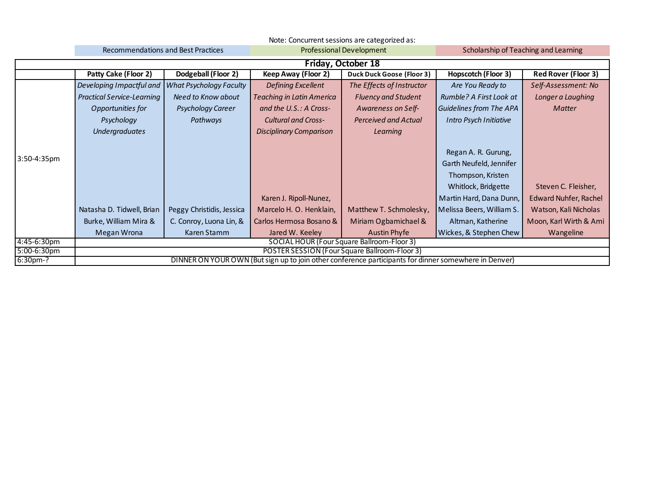|                | Note: Concurrent sessions are categorized as:                                                         |                                |                                  |                                                   |                                      |                            |  |
|----------------|-------------------------------------------------------------------------------------------------------|--------------------------------|----------------------------------|---------------------------------------------------|--------------------------------------|----------------------------|--|
|                | <b>Recommendations and Best Practices</b>                                                             |                                |                                  | <b>Professional Development</b>                   | Scholarship of Teaching and Learning |                            |  |
|                | Friday, October 18                                                                                    |                                |                                  |                                                   |                                      |                            |  |
|                | Patty Cake (Floor 2)                                                                                  | Dodgeball (Floor 2)            | Keep Away (Floor 2)              | <b>Duck Duck Goose (Floor 3)</b>                  | Hopscotch (Floor 3)                  | <b>Red Rover (Floor 3)</b> |  |
|                | Developing Impactful and                                                                              | <b>What Psychology Faculty</b> | <b>Defining Excellent</b>        | The Effects of Instructor                         | Are You Ready to                     | Self-Assessment: No        |  |
|                | <b>Practical Service-Learning</b>                                                                     | Need to Know about             | <b>Teaching in Latin America</b> | <b>Fluency and Student</b>                        | Rumble? A First Look at              | Longer a Laughing          |  |
|                | Opportunities for                                                                                     | Psychology Career              | and the U.S.: A Cross-           | Awareness on Self-                                | Guidelines from The APA              | <b>Matter</b>              |  |
|                | Psychology                                                                                            | Pathways                       | <b>Cultural and Cross-</b>       | <b>Perceived and Actual</b>                       | Intro Psych Initiative               |                            |  |
|                | <b>Undergraduates</b>                                                                                 |                                | <b>Disciplinary Comparison</b>   | Learning                                          |                                      |                            |  |
|                |                                                                                                       |                                |                                  |                                                   |                                      |                            |  |
| 3:50-4:35pm    |                                                                                                       |                                |                                  |                                                   | Regan A. R. Gurung,                  |                            |  |
|                |                                                                                                       |                                |                                  |                                                   | Garth Neufeld, Jennifer              |                            |  |
|                |                                                                                                       |                                |                                  |                                                   | Thompson, Kristen                    |                            |  |
|                |                                                                                                       |                                |                                  |                                                   | Whitlock, Bridgette                  | Steven C. Fleisher,        |  |
|                |                                                                                                       |                                | Karen J. Ripoll-Nunez,           |                                                   | Martin Hard, Dana Dunn,              | Edward Nuhfer, Rachel      |  |
|                | Natasha D. Tidwell, Brian                                                                             | Peggy Christidis, Jessica      | Marcelo H. O. Henklain,          | Matthew T. Schmolesky,                            | Melissa Beers, William S.            | Watson, Kali Nicholas      |  |
|                | Burke, William Mira &                                                                                 | C. Conroy, Luona Lin, &        | Carlos Hermosa Bosano &          | Miriam Ogbamichael &                              | Altman, Katherine                    | Moon, Karl Wirth & Ami     |  |
|                | Megan Wrona                                                                                           | Karen Stamm                    | Jared W. Keeley                  | <b>Austin Phyfe</b>                               | Wickes, & Stephen Chew               | Wangeline                  |  |
| 4:45-6:30pm    |                                                                                                       |                                |                                  | <b>SOCIAL HOUR (Four Square Ballroom-Floor 3)</b> |                                      |                            |  |
| $5:00-6:30$ pm |                                                                                                       |                                |                                  | POSTER SESSION (Four Square Ballroom-Floor 3)     |                                      |                            |  |
| $6:30pm-?$     | DINNER ON YOUR OWN (But sign up to join other conference participants for dinner somewhere in Denver) |                                |                                  |                                                   |                                      |                            |  |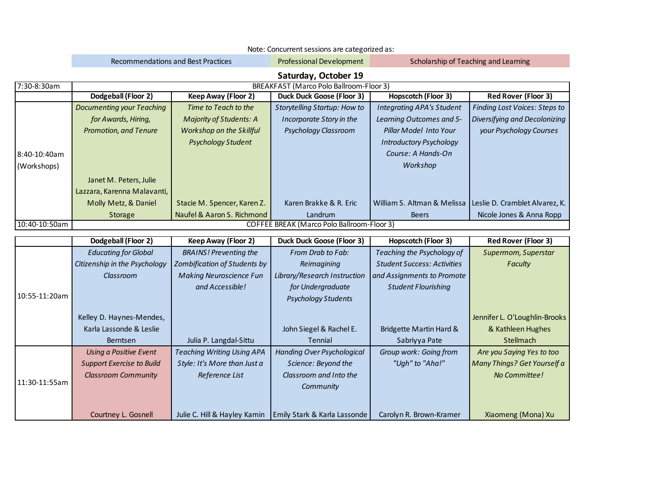|               | Note: Concurrent sessions are categorized as:                |                                                               |                                                       |                                                                  |                                      |  |  |  |  |
|---------------|--------------------------------------------------------------|---------------------------------------------------------------|-------------------------------------------------------|------------------------------------------------------------------|--------------------------------------|--|--|--|--|
|               |                                                              | <b>Recommendations and Best Practices</b>                     | <b>Professional Development</b>                       |                                                                  | Scholarship of Teaching and Learning |  |  |  |  |
|               |                                                              |                                                               | Saturday, October 19                                  |                                                                  |                                      |  |  |  |  |
| 7:30-8:30am   | BREAKFAST (Marco Polo Ballroom-Floor 3)                      |                                                               |                                                       |                                                                  |                                      |  |  |  |  |
|               | Dodgeball (Floor 2)                                          | <b>Keep Away (Floor 2)</b>                                    | <b>Duck Duck Goose (Floor 3)</b>                      | <b>Hopscotch (Floor 3)</b>                                       | <b>Red Rover (Floor 3)</b>           |  |  |  |  |
|               | <b>Documenting your Teaching</b>                             | Time to Teach to the                                          | <b>Storytelling Startup: How to</b>                   | <b>Integrating APA's Student</b>                                 | <b>Finding Lost Voices: Steps to</b> |  |  |  |  |
|               | for Awards, Hiring,                                          | Majority of Students: A                                       | Incorporate Story in the                              | Learning Outcomes and 5-                                         | Diversifying and Decolonizing        |  |  |  |  |
|               | <b>Promotion, and Tenure</b>                                 | Workshop on the Skillful                                      | Psychology Classroom                                  | Pillar Model Into Your                                           | your Psychology Courses              |  |  |  |  |
|               |                                                              | Psychology Student                                            |                                                       | <b>Introductory Psychology</b>                                   |                                      |  |  |  |  |
| 8:40-10:40am  |                                                              |                                                               |                                                       | Course: A Hands-On                                               |                                      |  |  |  |  |
| (Workshops)   |                                                              |                                                               |                                                       | Workshop                                                         |                                      |  |  |  |  |
|               | Janet M. Peters, Julie                                       |                                                               |                                                       |                                                                  |                                      |  |  |  |  |
|               | Lazzara, Karenna Malavanti,                                  |                                                               |                                                       |                                                                  |                                      |  |  |  |  |
|               | Molly Metz, & Daniel                                         | Stacie M. Spencer, Karen Z.                                   | Karen Brakke & R. Eric                                | William S. Altman & Melissa                                      | Leslie D. Cramblet Alvarez, K.       |  |  |  |  |
|               | <b>Storage</b>                                               | Naufel & Aaron S. Richmond                                    | Landrum                                               | <b>Beers</b>                                                     | Nicole Jones & Anna Ropp             |  |  |  |  |
| 10:40-10:50am | <b>COFFEE BREAK (Marco Polo Ballroom-Floor 3)</b>            |                                                               |                                                       |                                                                  |                                      |  |  |  |  |
|               |                                                              |                                                               |                                                       |                                                                  |                                      |  |  |  |  |
|               |                                                              |                                                               |                                                       |                                                                  |                                      |  |  |  |  |
|               | Dodgeball (Floor 2)                                          | <b>Keep Away (Floor 2)</b>                                    | <b>Duck Duck Goose (Floor 3)</b><br>From Drab to Fab: | Hopscotch (Floor 3)                                              | <b>Red Rover (Floor 3)</b>           |  |  |  |  |
|               | <b>Educating for Global</b><br>Citizenship in the Psychology | <b>BRAINS!</b> Preventing the<br>Zombification of Students by | Reimagining                                           | Teaching the Psychology of<br><b>Student Success: Activities</b> | Supermom, Superstar<br>Faculty       |  |  |  |  |
|               | Classroom                                                    | <b>Making Neuroscience Fun</b>                                | Library/Research Instruction                          | and Assignments to Promote                                       |                                      |  |  |  |  |
|               |                                                              | and Accessible!                                               | for Undergraduate                                     | <b>Student Flourishing</b>                                       |                                      |  |  |  |  |
| 10:55-11:20am |                                                              |                                                               | <b>Psychology Students</b>                            |                                                                  |                                      |  |  |  |  |
|               |                                                              |                                                               |                                                       |                                                                  |                                      |  |  |  |  |
|               | Kelley D. Haynes-Mendes,                                     |                                                               |                                                       |                                                                  | Jennifer L. O'Loughlin-Brooks        |  |  |  |  |
|               | Karla Lassonde & Leslie<br>Berntsen                          |                                                               | John Siegel & Rachel E.<br>Tennial                    | Bridgette Martin Hard &                                          | & Kathleen Hughes<br>Stellmach       |  |  |  |  |
|               |                                                              | Julia P. Langdal-Sittu                                        |                                                       | Sabriyya Pate                                                    |                                      |  |  |  |  |
|               | <b>Using a Positive Event</b>                                | <b>Teaching Writing Using APA</b>                             | <b>Handing Over Psychological</b>                     | Group work: Going from                                           | Are you Saying Yes to too            |  |  |  |  |
|               | <b>Support Exercise to Build</b>                             | Style: It's More than Just a                                  | Science: Beyond the<br>Classroom and Into the         | "Ugh" to "Aha!"                                                  | Many Things? Get Yourself a          |  |  |  |  |
| 11:30-11:55am | <b>Classroom Community</b>                                   | Reference List                                                | Community                                             |                                                                  | No Committee!                        |  |  |  |  |
|               |                                                              |                                                               |                                                       |                                                                  |                                      |  |  |  |  |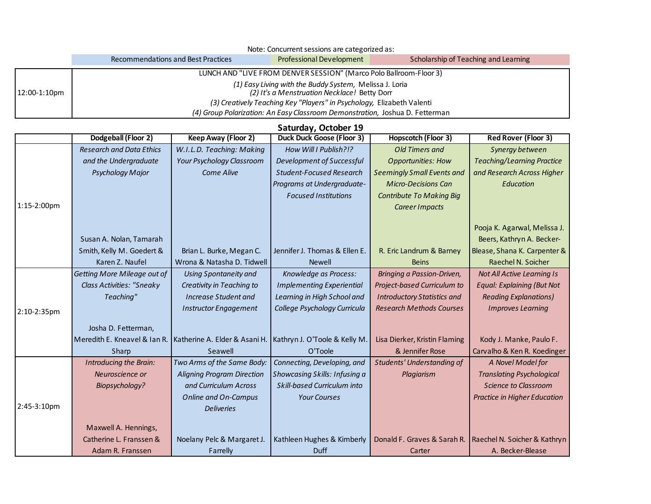|              | Note: Concurrent sessions are categorized as:                                                           |                                                                              |                                      |  |  |  |  |  |  |
|--------------|---------------------------------------------------------------------------------------------------------|------------------------------------------------------------------------------|--------------------------------------|--|--|--|--|--|--|
|              | Recommendations and Best Practices                                                                      | <b>Professional Development</b>                                              | Scholarship of Teaching and Learning |  |  |  |  |  |  |
|              | LUNCH AND "LIVE FROM DENVER SESSION" (Marco Polo Ballroom-Floor 3)                                      |                                                                              |                                      |  |  |  |  |  |  |
| 12:00-1:10pm | (1) Easy Living with the Buddy System, Melissa J. Loria<br>(2) It's a Menstruation Necklace! Betty Dorr |                                                                              |                                      |  |  |  |  |  |  |
|              | (3) Creatively Teaching Key "Players" in Psychology, Elizabeth Valenti                                  |                                                                              |                                      |  |  |  |  |  |  |
|              |                                                                                                         | (4) Group Polarization: An Easy Classroom Demonstration, Joshua D. Fetterman |                                      |  |  |  |  |  |  |

## **Saturday, October 19**

|                | Dodgeball (Floor 2)              | Keep Away (Floor 2)               | <b>Duck Duck Goose (Floor 3)</b> | <b>Hopscotch (Floor 3)</b>         | <b>Red Rover (Floor 3)</b>          |
|----------------|----------------------------------|-----------------------------------|----------------------------------|------------------------------------|-------------------------------------|
|                | <b>Research and Data Ethics</b>  | W.I.L.D. Teaching: Making         | How Will I Publish?!?            | <b>Old Timers and</b>              | Synergy between                     |
|                | and the Undergraduate            | <b>Your Psychology Classroom</b>  | Development of Successful        | <b>Opportunities: How</b>          | <b>Teaching/Learning Practice</b>   |
|                | Psychology Major                 | Come Alive                        | <b>Student-Focused Research</b>  | <b>Seemingly Small Events and</b>  | and Research Across Higher          |
|                |                                  |                                   | Programs at Undergraduate-       | <b>Micro-Decisions Can</b>         | <b>Education</b>                    |
|                |                                  |                                   | <b>Focused Institutions</b>      | <b>Contribute To Making Big</b>    |                                     |
| $1:15-2:00$ pm |                                  |                                   |                                  | Career Impacts                     |                                     |
|                |                                  |                                   |                                  |                                    |                                     |
|                |                                  |                                   |                                  |                                    | Pooja K. Agarwal, Melissa J.        |
|                | Susan A. Nolan, Tamarah          |                                   |                                  |                                    | Beers, Kathryn A. Becker-           |
|                | Smith, Kelly M. Goedert &        | Brian L. Burke, Megan C.          | Jennifer J. Thomas & Ellen E.    | R. Eric Landrum & Barney           | Blease, Shana K. Carpenter &        |
|                | Karen Z. Naufel                  | Wrona & Natasha D. Tidwell        | <b>Newell</b>                    | <b>Beins</b>                       | Raechel N. Soicher                  |
|                | Getting More Mileage out of      | <b>Using Spontaneity and</b>      | Knowledge as Process:            | Bringing a Passion-Driven,         | Not All Active Learning Is          |
|                | <b>Class Activities: "Sneaky</b> | Creativity in Teaching to         | <b>Implementing Experiential</b> | Project-based Curriculum to        | <b>Equal: Explaining (But Not</b>   |
|                | Teaching"                        | <b>Increase Student and</b>       | Learning in High School and      | <b>Introductory Statistics and</b> | <b>Reading Explanations)</b>        |
| 2:10-2:35pm    |                                  | <b>Instructor Engagement</b>      | College Psychology Curricula     | <b>Research Methods Courses</b>    | <b>Improves Learning</b>            |
|                | Josha D. Fetterman,              |                                   |                                  |                                    |                                     |
|                | Meredith E. Kneavel & Ian R.     | Katherine A. Elder & Asani H.     | Kathryn J. O'Toole & Kelly M.    | Lisa Dierker, Kristin Flaming      | Kody J. Manke, Paulo F.             |
|                | Sharp                            | Seawell                           | O'Toole                          | & Jennifer Rose                    | Carvalho & Ken R. Koedinger         |
|                | Introducing the Brain:           | Two Arms of the Same Body:        | Connecting, Developing, and      | <b>Students' Understanding of</b>  | A Novel Model for                   |
|                | Neuroscience or                  | <b>Aligning Program Direction</b> | Showcasing Skills: Infusing a    | Plagiarism                         | <b>Translating Psychological</b>    |
|                | Biopsychology?                   | and Curriculum Across             | Skill-based Curriculum into      |                                    | <b>Science to Classroom</b>         |
|                |                                  | <b>Online and On-Campus</b>       | <b>Your Courses</b>              |                                    | <b>Practice in Higher Education</b> |
| 2:45-3:10pm    |                                  | <b>Deliveries</b>                 |                                  |                                    |                                     |
|                |                                  |                                   |                                  |                                    |                                     |
|                | Maxwell A. Hennings,             |                                   |                                  |                                    |                                     |
|                | Catherine L. Franssen &          | Noelany Pelc & Margaret J.        | Kathleen Hughes & Kimberly       | Donald F. Graves & Sarah R.        | Raechel N. Soicher & Kathryn        |
|                | Adam R. Franssen                 | Farrelly                          | <b>Duff</b>                      | Carter                             | A. Becker-Blease                    |